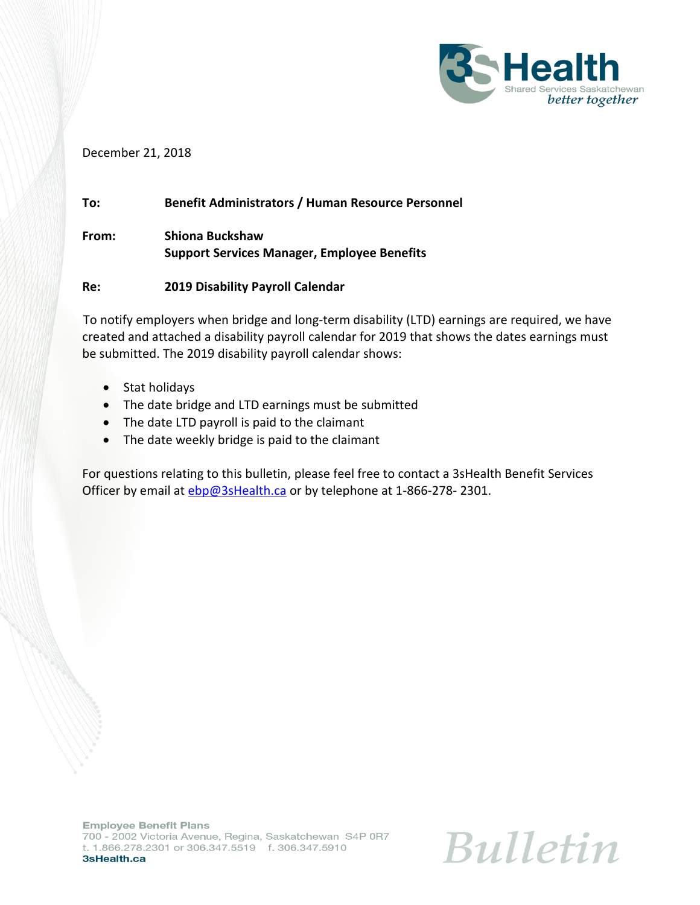

## December 21, 2018

## **To: Benefit Administrators / Human Resource Personnel**

**From: Shiona Buckshaw Support Services Manager, Employee Benefits**

## **Re: 2019 Disability Payroll Calendar**

To notify employers when bridge and long-term disability (LTD) earnings are required, we have created and attached a disability payroll calendar for 2019 that shows the dates earnings must be submitted. The 2019 disability payroll calendar shows:

- Stat holidays
- The date bridge and LTD earnings must be submitted
- The date LTD payroll is paid to the claimant
- The date weekly bridge is paid to the claimant

For questions relating to this bulletin, please feel free to contact a 3sHealth Benefit Services Officer by email at [ebp@3sHealth.ca](mailto:ebp@3sHealth.ca) or by telephone at 1-866-278-2301.